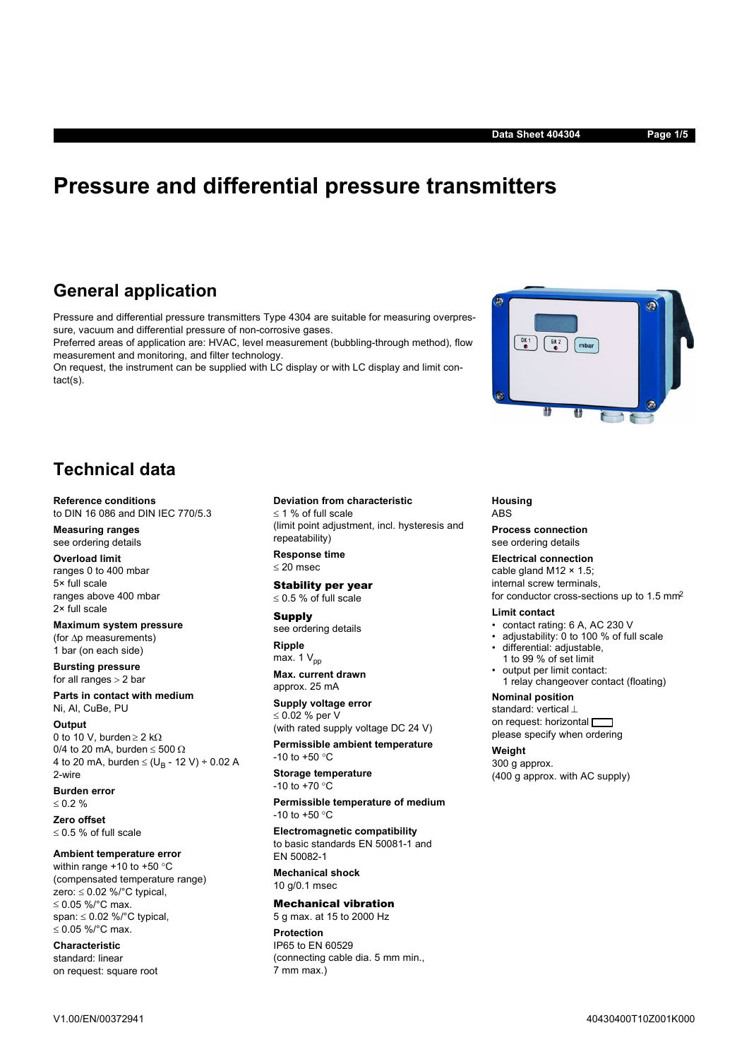# **Pressure and differential pressure transmitters**

# **General application**

Pressure and differential pressure transmitters Type 4304 are suitable for measuring overpressure, vacuum and differential pressure of non-corrosive gases.

Preferred areas of application are: HVAC, level measurement (bubbling-through method), flow measurement and monitoring, and filter technology.

On request, the instrument can be supplied with LC display or with LC display and limit contact(s).

# **Technical data**

#### **Reference conditions**

to DIN 16 086 and DIN IEC 770/5.3

#### **Measuring ranges** see ordering details

**Overload limit**

ranges 0 to 400 mbar 5× full scale ranges above 400 mbar 2× full scale

## **Maximum system pressure**

(for  $\Delta p$  measurements) 1 bar (on each side)

**Bursting pressure** for all ranges  $> 2$  bar

**Parts in contact with medium** Ni, Al, CuBe, PU

## **Output**

0 to 10 V, burden  $\geq$  2 k $\Omega$ 0/4 to 20 mA, burden  $\leq 500 \Omega$ 4 to 20 mA, burden  $\leq$  (U<sub>B</sub> - 12 V) ÷ 0.02 A 2-wire

**Burden error**

 $0.2 \%$ **Zero offset**  $\leq$  0.5 % of full scale

# **Ambient temperature error**

within range  $+10$  to  $+50$  °C (compensated temperature range) zero:  $\leq 0.02$  %/°C typical,  $\leq$  0.05 %/°C max. span:  $\leq 0.02$  %/°C typical,  $≤ 0.05 %$  °C max.

### **Characteristic** standard: linear on request: square root

#### **Deviation from characteristic**

 $1%$  of full scale (limit point adjustment, incl. hysteresis and repeatability) **Response time**

 $\leq$  20 msec

#### Stability per year  $0.5$ % of full scale

#### Supply

see ordering details **Ripple**

max.  $1 V_{\text{pp}}$ 

**Max. current drawn** approx. 25 mA

**Supply voltage error**  $\leq 0.02$  % per V

(with rated supply voltage DC 24 V) **Permissible ambient temperature**

 $-10$  to  $+50$  °C

#### **Storage temperature** -10 to  $+70 °C$

**Permissible temperature of medium** -10 to +50  $^{\circ}$ C

**Electromagnetic compatibility** to basic standards EN 50081-1 and EN 50082-1

**Mechanical shock** 10 g/0.1 msec

#### Mechanical vibration 5 g max. at 15 to 2000 Hz

**Protection** IP65 to EN 60529 (connecting cable dia. 5 mm min., 7 mm max.)

# **Housing** ABS

**Process connection** see ordering details

## **Electrical connection**

cable gland M12  $\times$  1.5; internal screw terminals,

for conductor cross-sections up to 1.5 mm2

# **Limit contact**

- contact rating: 6 A, AC 230 V
- adjustability: 0 to 100 % of full scale
- differential: adjustable,
- 1 to 99 % of set limit
- output per limit contact:
- 1 relay changeover contact (floating)

# **Nominal position**

standard: vertical  $\perp$ on request: horizontal please specify when ordering

# **Weight**

300 g approx. (400 g approx. with AC supply)

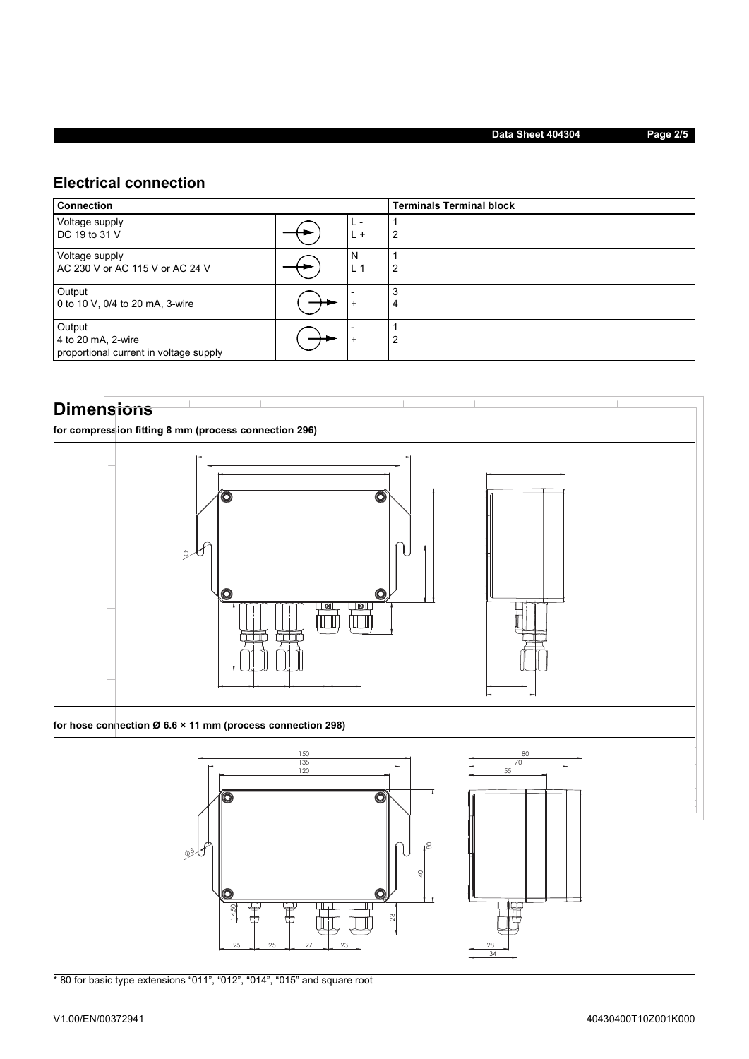# **Electrical connection**

| <b>Connection</b>                                                      |  | <b>Terminals Terminal block</b> |                |  |  |  |
|------------------------------------------------------------------------|--|---------------------------------|----------------|--|--|--|
| Voltage supply<br>DC 19 to 31 V                                        |  | $\overline{+}$<br>ь.            | 2              |  |  |  |
| Voltage supply<br>AC 230 V or AC 115 V or AC 24 V                      |  | N<br>L <sup>1</sup>             | $\overline{2}$ |  |  |  |
| Output<br>0 to 10 V, 0/4 to 20 mA, 3-wire                              |  | ÷                               | 3<br>4         |  |  |  |
| Output<br>4 to 20 mA, 2-wire<br>proportional current in voltage supply |  | $\div$                          | $\overline{2}$ |  |  |  |

# **Dimensions**

**for compression fitting 8 mm (process connection 296)**



**for hose connection Ø 6.6 × 11 mm (process connection 298)**



\* 80 for basic type extensions "011", "012", "014", "015" and square root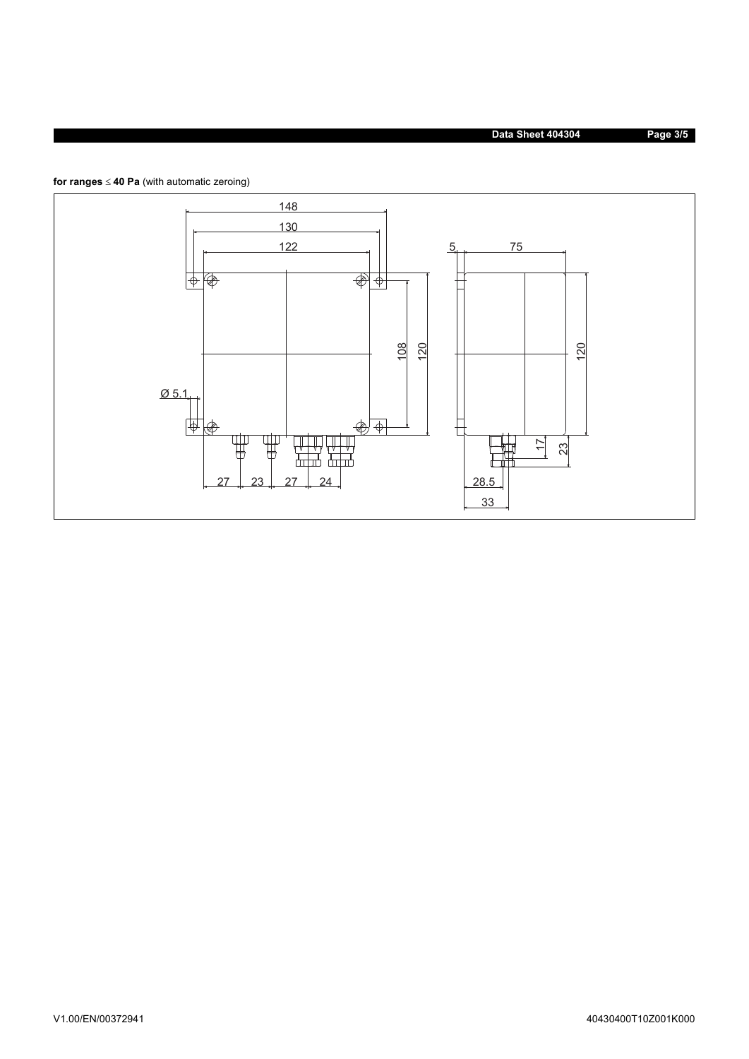**Data Sheet 404304 Page 3/5**



for ranges  $\leq 40$  Pa (with automatic zeroing)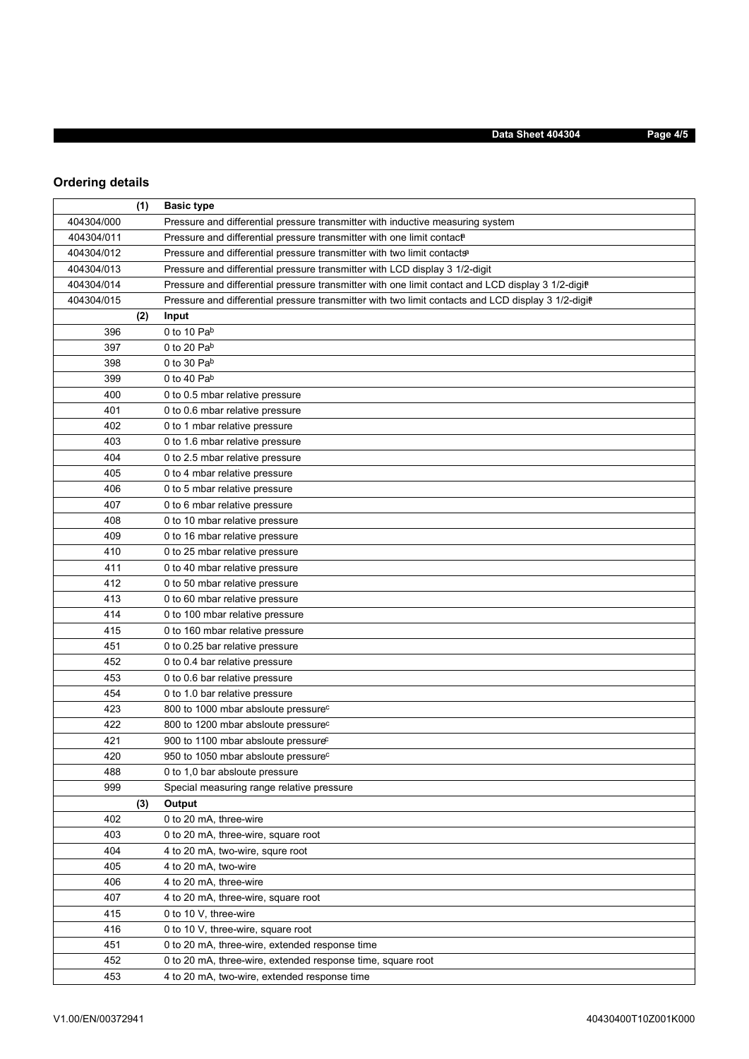# **Ordering details**

|            | (1) | <b>Basic type</b>                                                                                  |
|------------|-----|----------------------------------------------------------------------------------------------------|
| 404304/000 |     | Pressure and differential pressure transmitter with inductive measuring system                     |
| 404304/011 |     | Pressure and differential pressure transmitter with one limit contact                              |
| 404304/012 |     | Pressure and differential pressure transmitter with two limit contacts <sup>a</sup>                |
| 404304/013 |     | Pressure and differential pressure transmitter with LCD display 3 1/2-digit                        |
| 404304/014 |     | Pressure and differential pressure transmitter with one limit contact and LCD display 3 1/2-digit  |
| 404304/015 |     | Pressure and differential pressure transmitter with two limit contacts and LCD display 3 1/2-digit |
|            | (2) | Input                                                                                              |
| 396        |     | 0 to 10 Pab                                                                                        |
| 397        |     | 0 to 20 $Pab$                                                                                      |
| 398        |     | 0 to 30 $Pab$                                                                                      |
| 399        |     | 0 to 40 $Pab$                                                                                      |
| 400        |     | 0 to 0.5 mbar relative pressure                                                                    |
| 401        |     | 0 to 0.6 mbar relative pressure                                                                    |
| 402        |     | 0 to 1 mbar relative pressure                                                                      |
| 403        |     | 0 to 1.6 mbar relative pressure                                                                    |
| 404        |     | 0 to 2.5 mbar relative pressure                                                                    |
| 405        |     | 0 to 4 mbar relative pressure                                                                      |
| 406        |     | 0 to 5 mbar relative pressure                                                                      |
| 407        |     | 0 to 6 mbar relative pressure                                                                      |
| 408        |     | 0 to 10 mbar relative pressure                                                                     |
| 409        |     | 0 to 16 mbar relative pressure                                                                     |
| 410        |     | 0 to 25 mbar relative pressure                                                                     |
| 411        |     | 0 to 40 mbar relative pressure                                                                     |
| 412        |     | 0 to 50 mbar relative pressure                                                                     |
| 413        |     | 0 to 60 mbar relative pressure                                                                     |
| 414        |     | 0 to 100 mbar relative pressure                                                                    |
| 415        |     | 0 to 160 mbar relative pressure                                                                    |
| 451        |     | 0 to 0.25 bar relative pressure                                                                    |
| 452        |     | 0 to 0.4 bar relative pressure                                                                     |
| 453        |     | 0 to 0.6 bar relative pressure                                                                     |
| 454        |     | 0 to 1.0 bar relative pressure                                                                     |
| 423        |     | 800 to 1000 mbar absloute pressure <sup>c</sup>                                                    |
| 422        |     | 800 to 1200 mbar absloute pressure <sup>c</sup>                                                    |
| 421        |     | 900 to 1100 mbar absloute pressure <sup>c</sup>                                                    |
| 420        |     | 950 to 1050 mbar absloute pressure <sup>c</sup>                                                    |
| 488        |     | 0 to 1,0 bar absloute pressure                                                                     |
| 999        |     | Special measuring range relative pressure                                                          |
|            | (3) | Output                                                                                             |
| 402        |     | 0 to 20 mA, three-wire                                                                             |
| 403        |     | 0 to 20 mA, three-wire, square root                                                                |
| 404        |     | 4 to 20 mA, two-wire, squre root                                                                   |
| 405        |     | 4 to 20 mA, two-wire                                                                               |
| 406        |     | 4 to 20 mA, three-wire                                                                             |
| 407        |     | 4 to 20 mA, three-wire, square root                                                                |
| 415        |     | 0 to 10 V, three-wire                                                                              |
| 416        |     | 0 to 10 V, three-wire, square root                                                                 |
| 451        |     | 0 to 20 mA, three-wire, extended response time                                                     |
| 452        |     | 0 to 20 mA, three-wire, extended response time, square root                                        |
| 453        |     | 4 to 20 mA, two-wire, extended response time                                                       |